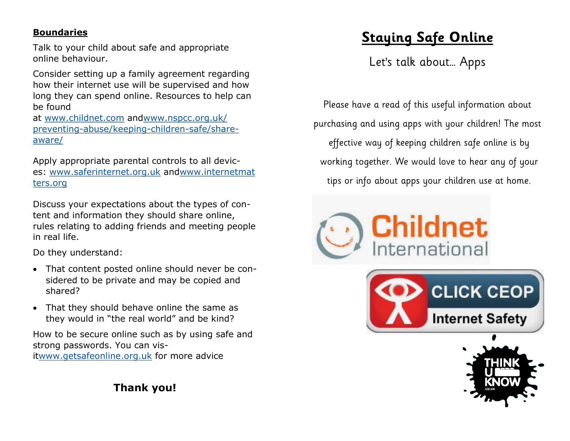#### **Boundaries**

Talk to your child about safe and appropriate online behaviour.

Consider setting up a family agreement regarding how their internet use will be supervised and how long they can spend online. Resources to help can be found

at [www.childnet.com](http://www.childnet.com/) an[dwww.nspcc.org.uk/](http://www.nspcc.org.uk/preventing-abuse/keeping-children-safe/share-aware/) preventing-[abuse/keeping](http://www.nspcc.org.uk/preventing-abuse/keeping-children-safe/share-aware/)-children-safe/share[aware/](http://www.nspcc.org.uk/preventing-abuse/keeping-children-safe/share-aware/)

Apply appropriate parental controls to all devices: [www.saferinternet.org.uk](http://www.saferinternet.org.uk/) and[www.internetmat](http://www.internetmatters.org/) [ters.org](http://www.internetmatters.org/)

Discuss your expectations about the types of content and information they should share online, rules relating to adding friends and meeting people in real life.

Do they understand:

- That content posted online should never be considered to be private and may be copied and shared?
- That they should behave online the same as they would in "the real world" and be kind?

How to be secure online such as by using safe and strong passwords. You can visit[www.getsafeonline.org.uk](http://www.getsafeonline.org.uk/) for more advice

**Thank you!**

# **Staying Safe Online**

Let's talk about… Apps

Please have a read of this useful information about purchasing and using apps with your children! The most effective way of keeping children safe online is by working together. We would love to hear any of your tips or info about apps your children use at home.